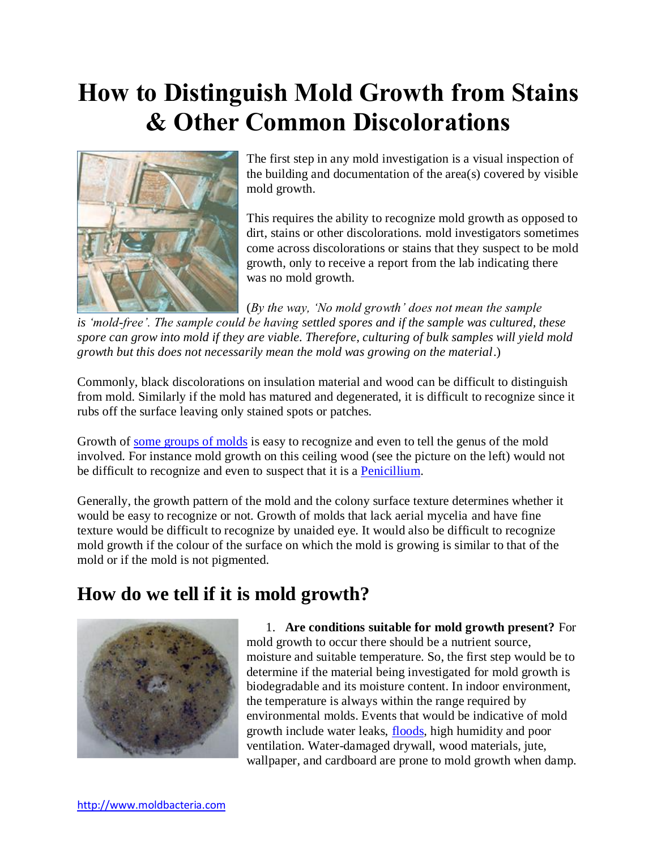# **How to Distinguish Mold Growth from Stains & Other Common Discolorations**



The first step in any mold investigation is a visual inspection of the building and documentation of the area(s) covered by visible mold growth.

This requires the ability to recognize mold growth as opposed to dirt, stains or other discolorations. mold investigators sometimes come across discolorations or stains that they suspect to be mold growth, only to receive a report from the lab indicating there was no mold growth.

(*By the way, 'No mold growth' does not mean the sample* 

*is 'mold-free'. The sample could be having settled spores and if the sample was cultured, these spore can grow into mold if they are viable. Therefore, culturing of bulk samples will yield mold growth but this does not necessarily mean the mold was growing on the material*.)

Commonly, black discolorations on insulation material and wood can be difficult to distinguish from mold. Similarly if the mold has matured and degenerated, it is difficult to recognize since it rubs off the surface leaving only stained spots or patches.

Growth of [some groups of molds](http://www.moldbacteria.com/mold-types.html) is easy to recognize and even to tell the genus of the mold involved. For instance mold growth on this ceiling wood (see the picture on the left) would not be difficult to recognize and even to suspect that it is a [Penicillium.](http://www.moldbacteria.com/mold/penicillium.html)

Generally, the growth pattern of the mold and the colony surface texture determines whether it would be easy to recognize or not. Growth of molds that lack aerial mycelia and have fine texture would be difficult to recognize by unaided eye. It would also be difficult to recognize mold growth if the colour of the surface on which the mold is growing is similar to that of the mold or if the mold is not pigmented.

#### **How do we tell if it is mold growth?**



1. **Are conditions suitable for mold growth present?** For mold growth to occur there should be a nutrient source, moisture and suitable temperature. So, the first step would be to determine if the material being investigated for mold growth is biodegradable and its moisture content. In indoor environment, the temperature is always within the range required by environmental molds. Events that would be indicative of mold growth include water leaks, [floods,](http://www.moldbacteria.com/mold/risk-of-mold-growth-outbreak-after-flooding.html) high humidity and poor ventilation. Water-damaged drywall, wood materials, jute, wallpaper, and cardboard are prone to mold growth when damp.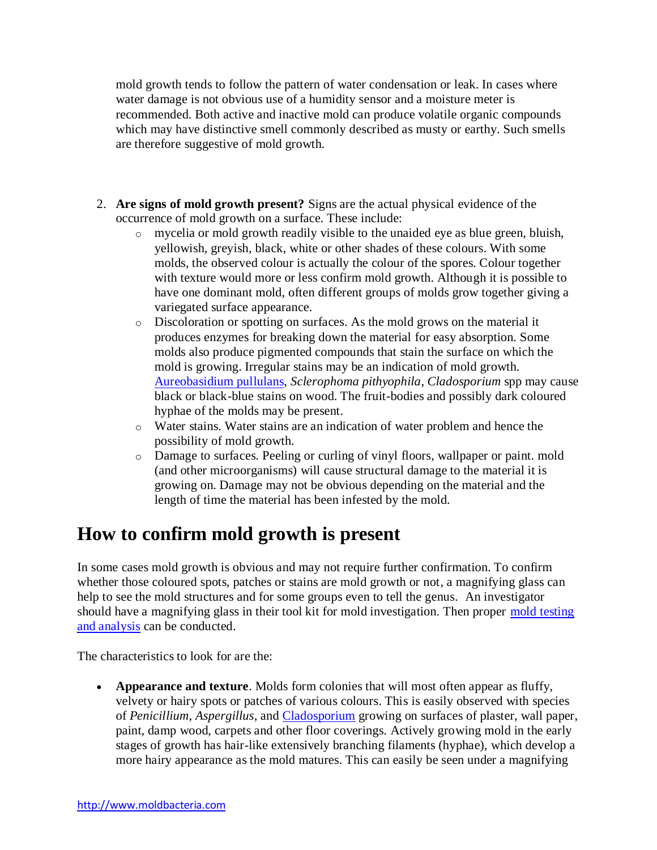mold growth tends to follow the pattern of water condensation or leak. In cases where water damage is not obvious use of a humidity sensor and a moisture meter is recommended. Both active and inactive mold can produce volatile organic compounds which may have distinctive smell commonly described as musty or earthy. Such smells are therefore suggestive of mold growth.

- 2. **Are signs of mold growth present?** Signs are the actual physical evidence of the occurrence of mold growth on a surface. These include:
	- o mycelia or mold growth readily visible to the unaided eye as blue green, bluish, yellowish, greyish, black, white or other shades of these colours. With some molds, the observed colour is actually the colour of the spores. Colour together with texture would more or less confirm mold growth. Although it is possible to have one dominant mold, often different groups of molds grow together giving a variegated surface appearance.
	- o Discoloration or spotting on surfaces. As the mold grows on the material it produces enzymes for breaking down the material for easy absorption. Some molds also produce pigmented compounds that stain the surface on which the mold is growing. Irregular stains may be an indication of mold growth. [Aureobasidium pullulans,](http://www.moldbacteria.com/mold/aureobasidium.html) *Sclerophoma pithyophila*, *Cladosporium* spp may cause black or black-blue stains on wood. The fruit-bodies and possibly dark coloured hyphae of the molds may be present.
	- o Water stains. Water stains are an indication of water problem and hence the possibility of mold growth.
	- o Damage to surfaces. Peeling or curling of vinyl floors, wallpaper or paint. mold (and other microorganisms) will cause structural damage to the material it is growing on. Damage may not be obvious depending on the material and the length of time the material has been infested by the mold.

#### **How to confirm mold growth is present**

In some cases mold growth is obvious and may not require further confirmation. To confirm whether those coloured spots, patches or stains are mold growth or not, a magnifying glass can help to see the mold structures and for some groups even to tell the genus. An investigator should have a magnifying glass in their tool kit for mold investigation. Then proper [mold testing](http://www.moldbacteria.com/mold-and-bacteria-testing-services.html)  [and analysis](http://www.moldbacteria.com/mold-and-bacteria-testing-services.html) can be conducted.

The characteristics to look for are the:

 **Appearance and texture**. Molds form colonies that will most often appear as fluffy, velvety or hairy spots or patches of various colours. This is easily observed with species of *Penicillium*, *Aspergillus*, and [Cladosporium](http://www.moldbacteria.com/mold/cladosporium.html) growing on surfaces of plaster, wall paper, paint, damp wood, carpets and other floor coverings. Actively growing mold in the early stages of growth has hair-like extensively branching filaments (hyphae), which develop a more hairy appearance as the mold matures. This can easily be seen under a magnifying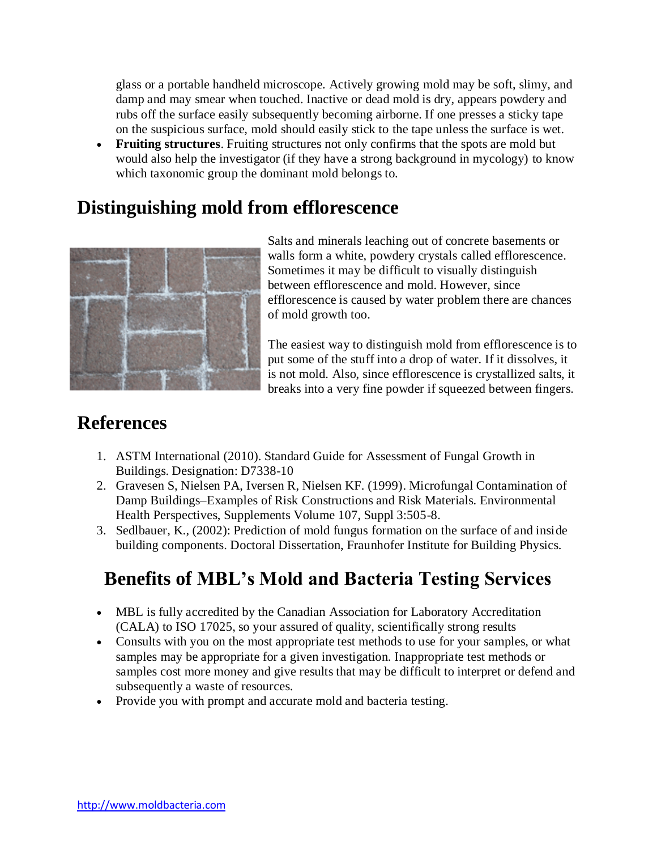glass or a portable handheld microscope. Actively growing mold may be soft, slimy, and damp and may smear when touched. Inactive or dead mold is dry, appears powdery and rubs off the surface easily subsequently becoming airborne. If one presses a sticky tape on the suspicious surface, mold should easily stick to the tape unless the surface is wet.

 **Fruiting structures**. Fruiting structures not only confirms that the spots are mold but would also help the investigator (if they have a strong background in mycology) to know which taxonomic group the dominant mold belongs to.

#### **Distinguishing mold from efflorescence**



Salts and minerals leaching out of concrete basements or walls form a white, powdery crystals called efflorescence. Sometimes it may be difficult to visually distinguish between efflorescence and mold. However, since efflorescence is caused by water problem there are chances of mold growth too.

The easiest way to distinguish mold from efflorescence is to put some of the stuff into a drop of water. If it dissolves, it is not mold. Also, since efflorescence is crystallized salts, it breaks into a very fine powder if squeezed between fingers.

### **References**

- 1. ASTM International (2010). Standard Guide for Assessment of Fungal Growth in Buildings. Designation: D7338-10
- 2. Gravesen S, Nielsen PA, Iversen R, Nielsen KF. (1999). Microfungal Contamination of Damp Buildings–Examples of Risk Constructions and Risk Materials. Environmental Health Perspectives, Supplements Volume 107, Suppl 3:505-8.
- 3. Sedlbauer, K., (2002): Prediction of mold fungus formation on the surface of and inside building components. Doctoral Dissertation, Fraunhofer Institute for Building Physics.

## **Benefits of MBL's Mold and Bacteria Testing Services**

- MBL is fully accredited by the Canadian Association for Laboratory Accreditation (CALA) to ISO 17025, so your assured of quality, scientifically strong results
- Consults with you on the most appropriate test methods to use for your samples, or what samples may be appropriate for a given investigation. Inappropriate test methods or samples cost more money and give results that may be difficult to interpret or defend and subsequently a waste of resources.
- Provide you with prompt and accurate mold and bacteria testing.